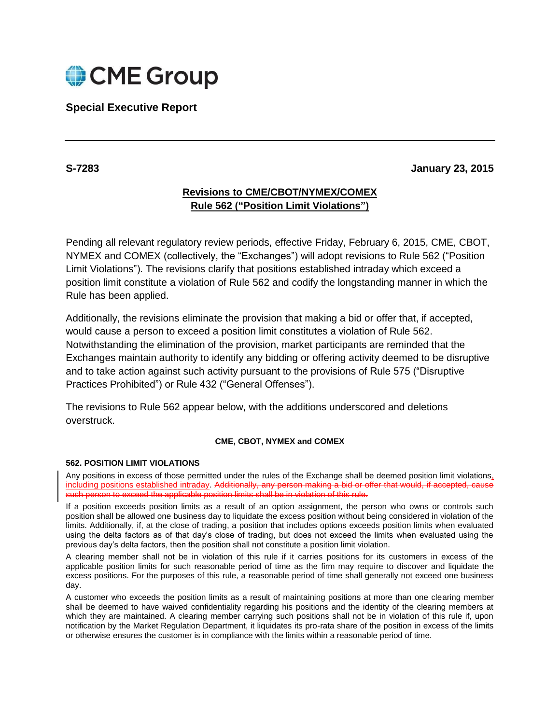

# **Special Executive Report**

### **S-7283 January 23, 2015**

## **Revisions to CME/CBOT/NYMEX/COMEX Rule 562 ("Position Limit Violations")**

Pending all relevant regulatory review periods, effective Friday, February 6, 2015, CME, CBOT, NYMEX and COMEX (collectively, the "Exchanges") will adopt revisions to Rule 562 ("Position Limit Violations"). The revisions clarify that positions established intraday which exceed a position limit constitute a violation of Rule 562 and codify the longstanding manner in which the Rule has been applied.

Additionally, the revisions eliminate the provision that making a bid or offer that, if accepted, would cause a person to exceed a position limit constitutes a violation of Rule 562. Notwithstanding the elimination of the provision, market participants are reminded that the Exchanges maintain authority to identify any bidding or offering activity deemed to be disruptive and to take action against such activity pursuant to the provisions of Rule 575 ("Disruptive Practices Prohibited") or Rule 432 ("General Offenses").

The revisions to Rule 562 appear below, with the additions underscored and deletions overstruck.

#### **CME, CBOT, NYMEX and COMEX**

#### **562. POSITION LIMIT VIOLATIONS**

Any positions in excess of those permitted under the rules of the Exchange shall be deemed position limit violations, including positions established intraday. Additionally, any person making a bid or offer that would, if accepted, cause such person to exceed the applicable position limits shall be in violation of this rule.

If a position exceeds position limits as a result of an option assignment, the person who owns or controls such position shall be allowed one business day to liquidate the excess position without being considered in violation of the limits. Additionally, if, at the close of trading, a position that includes options exceeds position limits when evaluated using the delta factors as of that day's close of trading, but does not exceed the limits when evaluated using the previous day's delta factors, then the position shall not constitute a position limit violation.

A clearing member shall not be in violation of this rule if it carries positions for its customers in excess of the applicable position limits for such reasonable period of time as the firm may require to discover and liquidate the excess positions. For the purposes of this rule, a reasonable period of time shall generally not exceed one business day.

A customer who exceeds the position limits as a result of maintaining positions at more than one clearing member shall be deemed to have waived confidentiality regarding his positions and the identity of the clearing members at which they are maintained. A clearing member carrying such positions shall not be in violation of this rule if, upon notification by the Market Regulation Department, it liquidates its pro-rata share of the position in excess of the limits or otherwise ensures the customer is in compliance with the limits within a reasonable period of time.